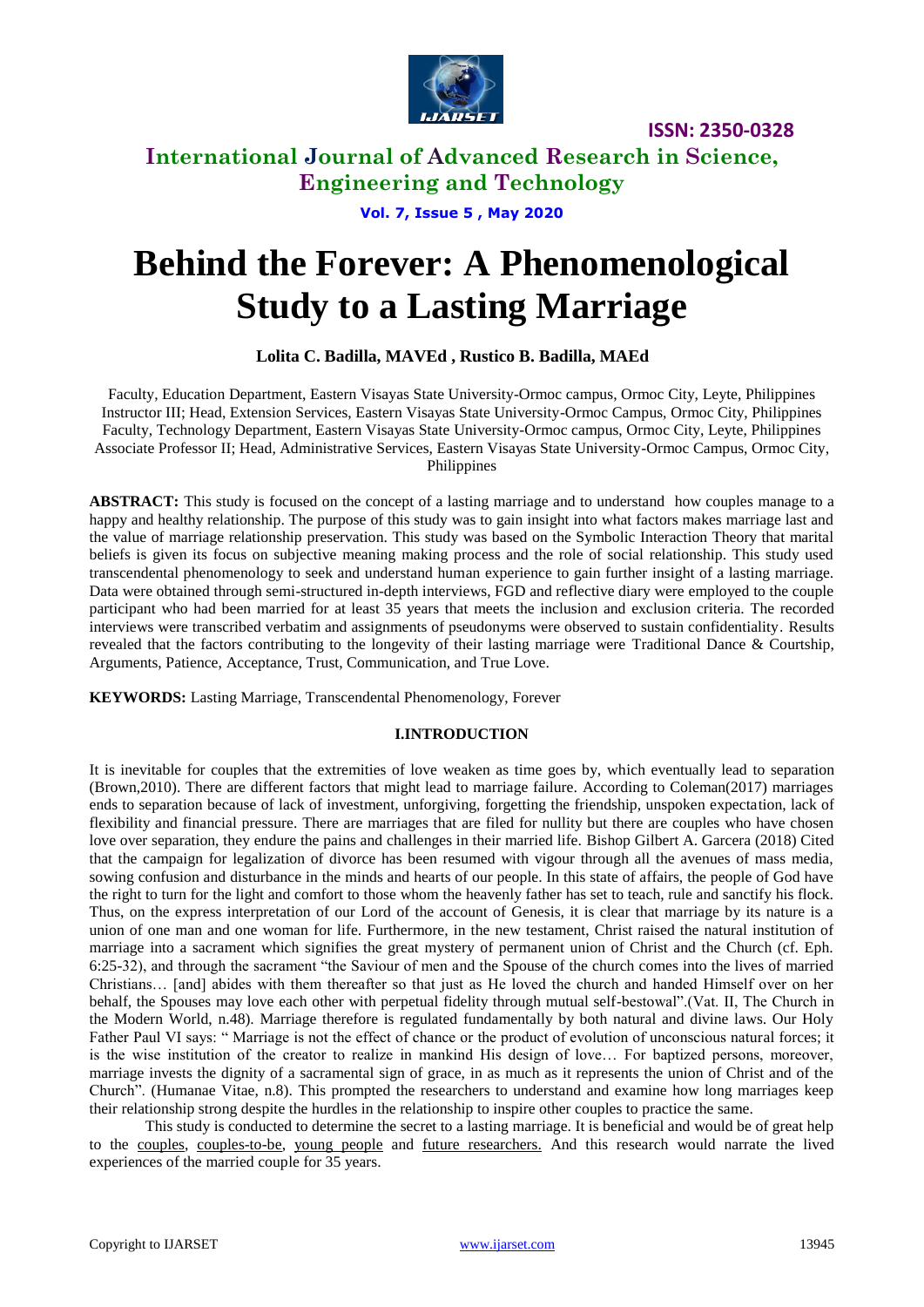

# **International Journal of Advanced Research in Science, Engineering and Technology**

**Vol. 7, Issue 5 , May 2020**

# **Behind the Forever: A Phenomenological Study to a Lasting Marriage**

# **Lolita C. Badilla, MAVEd , Rustico B. Badilla, MAEd**

Faculty, Education Department, Eastern Visayas State University-Ormoc campus, Ormoc City, Leyte, Philippines Instructor III; Head, Extension Services, Eastern Visayas State University-Ormoc Campus, Ormoc City, Philippines Faculty, Technology Department, Eastern Visayas State University-Ormoc campus, Ormoc City, Leyte, Philippines Associate Professor II; Head, Administrative Services, Eastern Visayas State University-Ormoc Campus, Ormoc City, Philippines

**ABSTRACT:** This study is focused on the concept of a lasting marriage and to understand how couples manage to a happy and healthy relationship. The purpose of this study was to gain insight into what factors makes marriage last and the value of marriage relationship preservation. This study was based on the Symbolic Interaction Theory that marital beliefs is given its focus on subjective meaning making process and the role of social relationship. This study used transcendental phenomenology to seek and understand human experience to gain further insight of a lasting marriage. Data were obtained through semi-structured in-depth interviews, FGD and reflective diary were employed to the couple participant who had been married for at least 35 years that meets the inclusion and exclusion criteria. The recorded interviews were transcribed verbatim and assignments of pseudonyms were observed to sustain confidentiality. Results revealed that the factors contributing to the longevity of their lasting marriage were Traditional Dance & Courtship, Arguments, Patience, Acceptance, Trust, Communication, and True Love.

**KEYWORDS:** Lasting Marriage, Transcendental Phenomenology, Forever

## **I.INTRODUCTION**

It is inevitable for couples that the extremities of love weaken as time goes by, which eventually lead to separation (Brown,2010). There are different factors that might lead to marriage failure. According to Coleman(2017) marriages ends to separation because of lack of investment, unforgiving, forgetting the friendship, unspoken expectation, lack of flexibility and financial pressure. There are marriages that are filed for nullity but there are couples who have chosen love over separation, they endure the pains and challenges in their married life. Bishop Gilbert A. Garcera (2018) Cited that the campaign for legalization of divorce has been resumed with vigour through all the avenues of mass media, sowing confusion and disturbance in the minds and hearts of our people. In this state of affairs, the people of God have the right to turn for the light and comfort to those whom the heavenly father has set to teach, rule and sanctify his flock. Thus, on the express interpretation of our Lord of the account of Genesis, it is clear that marriage by its nature is a union of one man and one woman for life. Furthermore, in the new testament, Christ raised the natural institution of marriage into a sacrament which signifies the great mystery of permanent union of Christ and the Church (cf. Eph. 6:25-32), and through the sacrament "the Saviour of men and the Spouse of the church comes into the lives of married Christians… [and] abides with them thereafter so that just as He loved the church and handed Himself over on her behalf, the Spouses may love each other with perpetual fidelity through mutual self-bestowal".(Vat. II, The Church in the Modern World, n.48). Marriage therefore is regulated fundamentally by both natural and divine laws. Our Holy Father Paul VI says: " Marriage is not the effect of chance or the product of evolution of unconscious natural forces; it is the wise institution of the creator to realize in mankind His design of love… For baptized persons, moreover, marriage invests the dignity of a sacramental sign of grace, in as much as it represents the union of Christ and of the Church". (Humanae Vitae, n.8). This prompted the researchers to understand and examine how long marriages keep their relationship strong despite the hurdles in the relationship to inspire other couples to practice the same.

This study is conducted to determine the secret to a lasting marriage. It is beneficial and would be of great help to the couples, couples-to-be, young people and future researchers. And this research would narrate the lived experiences of the married couple for 35 years.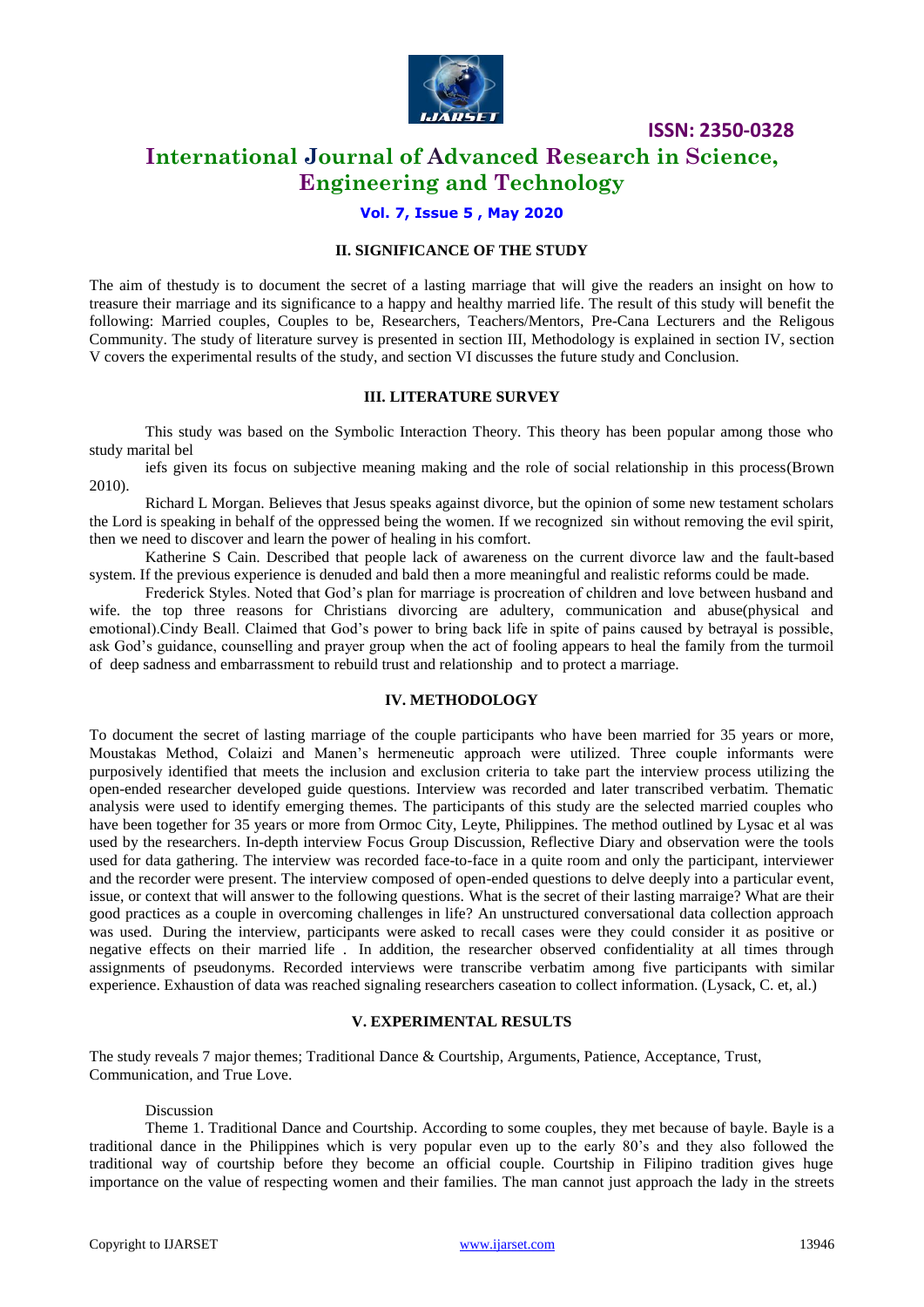

# **International Journal of Advanced Research in Science, Engineering and Technology**

## **Vol. 7, Issue 5 , May 2020**

### **II. SIGNIFICANCE OF THE STUDY**

The aim of thestudy is to document the secret of a lasting marriage that will give the readers an insight on how to treasure their marriage and its significance to a happy and healthy married life. The result of this study will benefit the following: Married couples, Couples to be, Researchers, Teachers/Mentors, Pre-Cana Lecturers and the Religous Community. The study of literature survey is presented in section III, Methodology is explained in section IV, section V covers the experimental results of the study, and section VI discusses the future study and Conclusion.

#### **III. LITERATURE SURVEY**

This study was based on the Symbolic Interaction Theory. This theory has been popular among those who study marital bel

iefs given its focus on subjective meaning making and the role of social relationship in this process(Brown 2010).

Richard L Morgan. Believes that Jesus speaks against divorce, but the opinion of some new testament scholars the Lord is speaking in behalf of the oppressed being the women. If we recognized sin without removing the evil spirit, then we need to discover and learn the power of healing in his comfort.

Katherine S Cain. Described that people lack of awareness on the current divorce law and the fault-based system. If the previous experience is denuded and bald then a more meaningful and realistic reforms could be made.

Frederick Styles. Noted that God's plan for marriage is procreation of children and love between husband and wife. the top three reasons for Christians divorcing are adultery, communication and abuse(physical and emotional).Cindy Beall. Claimed that God's power to bring back life in spite of pains caused by betrayal is possible, ask God's guidance, counselling and prayer group when the act of fooling appears to heal the family from the turmoil of deep sadness and embarrassment to rebuild trust and relationship and to protect a marriage.

#### **IV. METHODOLOGY**

To document the secret of lasting marriage of the couple participants who have been married for 35 years or more, Moustakas Method, Colaizi and Manen's hermeneutic approach were utilized. Three couple informants were purposively identified that meets the inclusion and exclusion criteria to take part the interview process utilizing the open-ended researcher developed guide questions. Interview was recorded and later transcribed verbatim. Thematic analysis were used to identify emerging themes. The participants of this study are the selected married couples who have been together for 35 years or more from Ormoc City, Leyte, Philippines. The method outlined by Lysac et al was used by the researchers. In-depth interview Focus Group Discussion, Reflective Diary and observation were the tools used for data gathering. The interview was recorded face-to-face in a quite room and only the participant, interviewer and the recorder were present. The interview composed of open-ended questions to delve deeply into a particular event, issue, or context that will answer to the following questions. What is the secret of their lasting marraige? What are their good practices as a couple in overcoming challenges in life? An unstructured conversational data collection approach was used. During the interview, participants were asked to recall cases were they could consider it as positive or negative effects on their married life . In addition, the researcher observed confidentiality at all times through assignments of pseudonyms. Recorded interviews were transcribe verbatim among five participants with similar experience. Exhaustion of data was reached signaling researchers caseation to collect information. (Lysack, C. et, al.)

#### **V. EXPERIMENTAL RESULTS**

The study reveals 7 major themes; Traditional Dance & Courtship, Arguments, Patience, Acceptance, Trust, Communication, and True Love.

#### Discussion

Theme 1. Traditional Dance and Courtship. According to some couples, they met because of bayle. Bayle is a traditional dance in the Philippines which is very popular even up to the early 80's and they also followed the traditional way of courtship before they become an official couple. Courtship in Filipino tradition gives huge importance on the value of respecting women and their families. The man cannot just approach the lady in the streets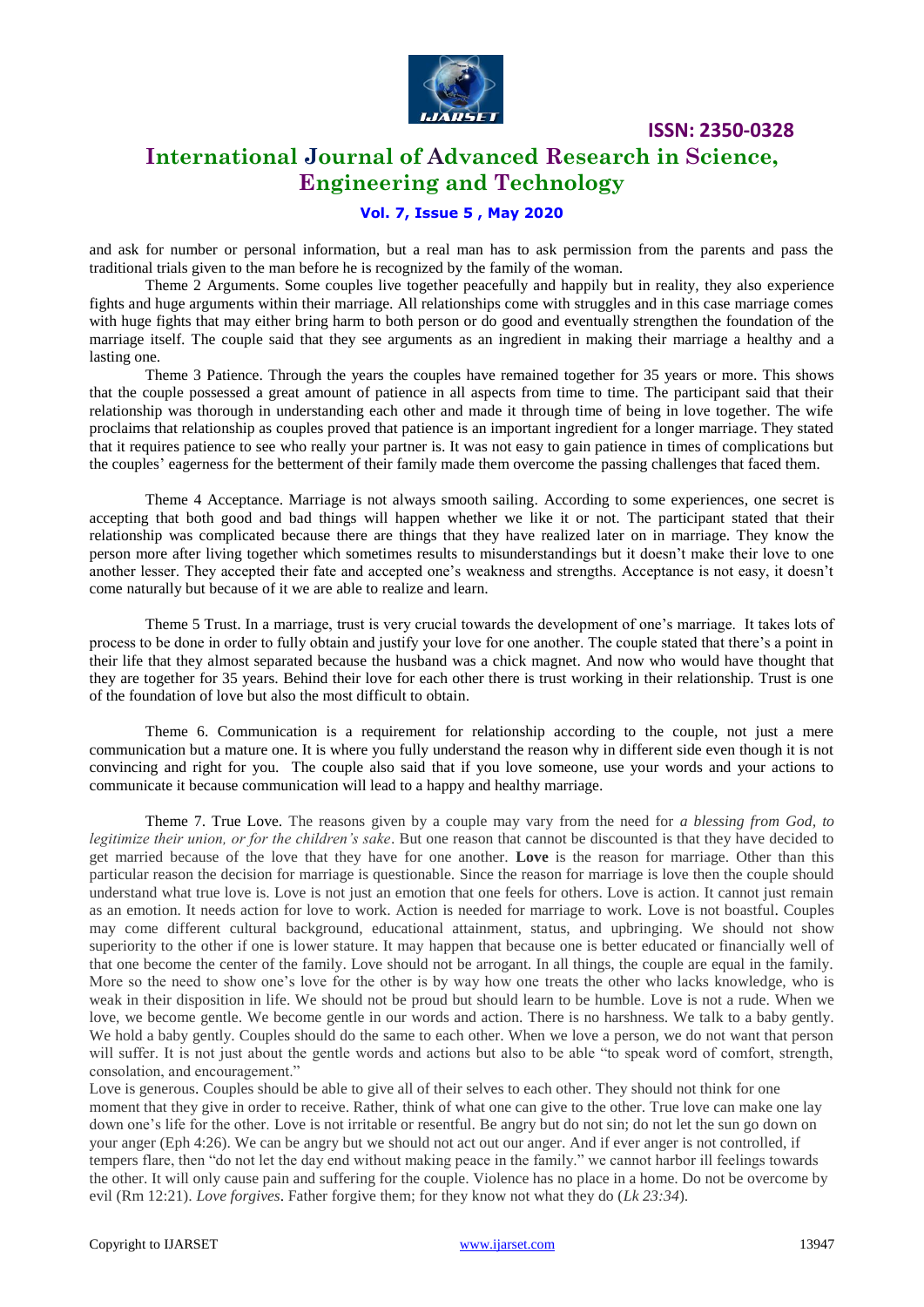

# **International Journal of Advanced Research in Science, Engineering and Technology**

# **Vol. 7, Issue 5 , May 2020**

and ask for number or personal information, but a real man has to ask permission from the parents and pass the traditional trials given to the man before he is recognized by the family of the woman.

Theme 2 Arguments. Some couples live together peacefully and happily but in reality, they also experience fights and huge arguments within their marriage. All relationships come with struggles and in this case marriage comes with huge fights that may either bring harm to both person or do good and eventually strengthen the foundation of the marriage itself. The couple said that they see arguments as an ingredient in making their marriage a healthy and a lasting one.

Theme 3 Patience. Through the years the couples have remained together for 35 years or more. This shows that the couple possessed a great amount of patience in all aspects from time to time. The participant said that their relationship was thorough in understanding each other and made it through time of being in love together. The wife proclaims that relationship as couples proved that patience is an important ingredient for a longer marriage. They stated that it requires patience to see who really your partner is. It was not easy to gain patience in times of complications but the couples' eagerness for the betterment of their family made them overcome the passing challenges that faced them.

Theme 4 Acceptance. Marriage is not always smooth sailing. According to some experiences, one secret is accepting that both good and bad things will happen whether we like it or not. The participant stated that their relationship was complicated because there are things that they have realized later on in marriage. They know the person more after living together which sometimes results to misunderstandings but it doesn't make their love to one another lesser. They accepted their fate and accepted one's weakness and strengths. Acceptance is not easy, it doesn't come naturally but because of it we are able to realize and learn.

Theme 5 Trust. In a marriage, trust is very crucial towards the development of one's marriage. It takes lots of process to be done in order to fully obtain and justify your love for one another. The couple stated that there's a point in their life that they almost separated because the husband was a chick magnet. And now who would have thought that they are together for 35 years. Behind their love for each other there is trust working in their relationship. Trust is one of the foundation of love but also the most difficult to obtain.

Theme 6. Communication is a requirement for relationship according to the couple, not just a mere communication but a mature one. It is where you fully understand the reason why in different side even though it is not convincing and right for you. The couple also said that if you love someone, use your words and your actions to communicate it because communication will lead to a happy and healthy marriage.

Theme 7. True Love. The reasons given by a couple may vary from the need for *a blessing from God, to legitimize their union, or for the children's sake*. But one reason that cannot be discounted is that they have decided to get married because of the love that they have for one another. **Love** is the reason for marriage. Other than this particular reason the decision for marriage is questionable. Since the reason for marriage is love then the couple should understand what true love is. Love is not just an emotion that one feels for others. Love is action. It cannot just remain as an emotion. It needs action for love to work. Action is needed for marriage to work. Love is not boastful. Couples may come different cultural background, educational attainment, status, and upbringing. We should not show superiority to the other if one is lower stature. It may happen that because one is better educated or financially well of that one become the center of the family. Love should not be arrogant. In all things, the couple are equal in the family. More so the need to show one's love for the other is by way how one treats the other who lacks knowledge, who is weak in their disposition in life. We should not be proud but should learn to be humble. Love is not a rude. When we love, we become gentle. We become gentle in our words and action. There is no harshness. We talk to a baby gently. We hold a baby gently. Couples should do the same to each other. When we love a person, we do not want that person will suffer. It is not just about the gentle words and actions but also to be able "to speak word of comfort, strength, consolation, and encouragement."

Love is generous. Couples should be able to give all of their selves to each other. They should not think for one moment that they give in order to receive. Rather, think of what one can give to the other. True love can make one lay down one's life for the other. Love is not irritable or resentful. Be angry but do not sin; do not let the sun go down on your anger (Eph 4:26). We can be angry but we should not act out our anger. And if ever anger is not controlled, if tempers flare, then "do not let the day end without making peace in the family." we cannot harbor ill feelings towards the other. It will only cause pain and suffering for the couple. Violence has no place in a home. Do not be overcome by evil (Rm 12:21). *Love forgives*. Father forgive them; for they know not what they do (*Lk 23:34*).